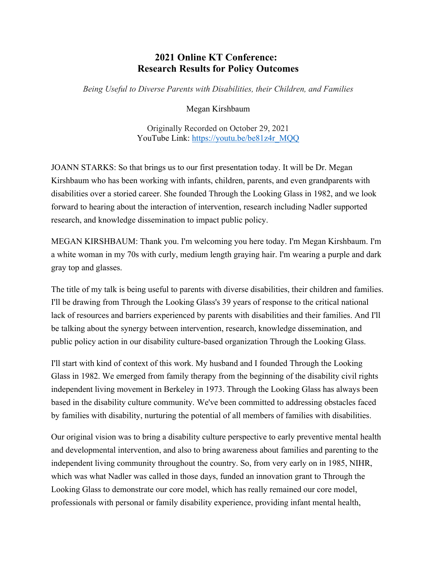## **2021 Online KT Conference: Research Results for Policy Outcomes**

*Being Useful to Diverse Parents with Disabilities, their Children, and Families*

Megan Kirshbaum

Originally Recorded on October 29, 2021 YouTube Link: [https://youtu.be/be81z4r\\_MQQ](https://youtu.be/be81z4r_MQQ)

JOANN STARKS: So that brings us to our first presentation today. It will be Dr. Megan Kirshbaum who has been working with infants, children, parents, and even grandparents with disabilities over a storied career. She founded Through the Looking Glass in 1982, and we look forward to hearing about the interaction of intervention, research including Nadler supported research, and knowledge dissemination to impact public policy.

MEGAN KIRSHBAUM: Thank you. I'm welcoming you here today. I'm Megan Kirshbaum. I'm a white woman in my 70s with curly, medium length graying hair. I'm wearing a purple and dark gray top and glasses.

The title of my talk is being useful to parents with diverse disabilities, their children and families. I'll be drawing from Through the Looking Glass's 39 years of response to the critical national lack of resources and barriers experienced by parents with disabilities and their families. And I'll be talking about the synergy between intervention, research, knowledge dissemination, and public policy action in our disability culture-based organization Through the Looking Glass.

I'll start with kind of context of this work. My husband and I founded Through the Looking Glass in 1982. We emerged from family therapy from the beginning of the disability civil rights independent living movement in Berkeley in 1973. Through the Looking Glass has always been based in the disability culture community. We've been committed to addressing obstacles faced by families with disability, nurturing the potential of all members of families with disabilities.

Our original vision was to bring a disability culture perspective to early preventive mental health and developmental intervention, and also to bring awareness about families and parenting to the independent living community throughout the country. So, from very early on in 1985, NIHR, which was what Nadler was called in those days, funded an innovation grant to Through the Looking Glass to demonstrate our core model, which has really remained our core model, professionals with personal or family disability experience, providing infant mental health,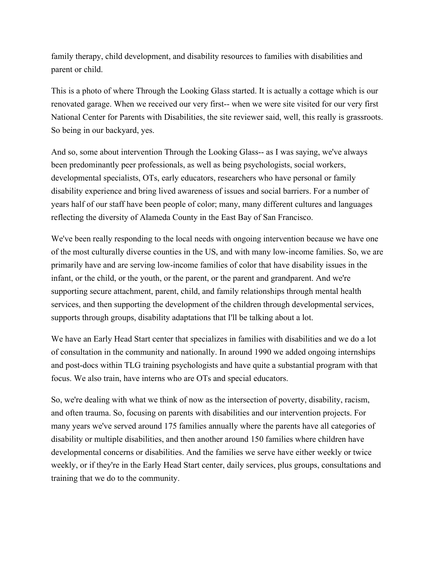family therapy, child development, and disability resources to families with disabilities and parent or child.

This is a photo of where Through the Looking Glass started. It is actually a cottage which is our renovated garage. When we received our very first-- when we were site visited for our very first National Center for Parents with Disabilities, the site reviewer said, well, this really is grassroots. So being in our backyard, yes.

And so, some about intervention Through the Looking Glass-- as I was saying, we've always been predominantly peer professionals, as well as being psychologists, social workers, developmental specialists, OTs, early educators, researchers who have personal or family disability experience and bring lived awareness of issues and social barriers. For a number of years half of our staff have been people of color; many, many different cultures and languages reflecting the diversity of Alameda County in the East Bay of San Francisco.

We've been really responding to the local needs with ongoing intervention because we have one of the most culturally diverse counties in the US, and with many low-income families. So, we are primarily have and are serving low-income families of color that have disability issues in the infant, or the child, or the youth, or the parent, or the parent and grandparent. And we're supporting secure attachment, parent, child, and family relationships through mental health services, and then supporting the development of the children through developmental services, supports through groups, disability adaptations that I'll be talking about a lot.

We have an Early Head Start center that specializes in families with disabilities and we do a lot of consultation in the community and nationally. In around 1990 we added ongoing internships and post-docs within TLG training psychologists and have quite a substantial program with that focus. We also train, have interns who are OTs and special educators.

So, we're dealing with what we think of now as the intersection of poverty, disability, racism, and often trauma. So, focusing on parents with disabilities and our intervention projects. For many years we've served around 175 families annually where the parents have all categories of disability or multiple disabilities, and then another around 150 families where children have developmental concerns or disabilities. And the families we serve have either weekly or twice weekly, or if they're in the Early Head Start center, daily services, plus groups, consultations and training that we do to the community.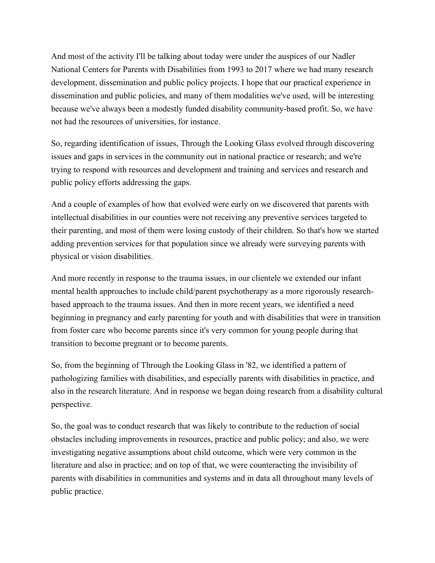And most of the activity I'll be talking about today were under the auspices of our Nadler National Centers for Parents with Disabilities from 1993 to 2017 where we had many research development, dissemination and public policy projects. I hope that our practical experience in dissemination and public policies, and many of them modalities we've used, will be interesting because we've always been a modestly funded disability community-based profit. So, we have not had the resources of universities, for instance.

So, regarding identification of issues, Through the Looking Glass evolved through discovering issues and gaps in services in the community out in national practice or research; and we're trying to respond with resources and development and training and services and research and public policy efforts addressing the gaps.

And a couple of examples of how that evolved were early on we discovered that parents with intellectual disabilities in our counties were not receiving any preventive services targeted to their parenting, and most of them were losing custody of their children. So that's how we started adding prevention services for that population since we already were surveying parents with physical or vision disabilities.

And more recently in response to the trauma issues, in our clientele we extended our infant mental health approaches to include child/parent psychotherapy as a more rigorously researchbased approach to the trauma issues. And then in more recent years, we identified a need beginning in pregnancy and early parenting for youth and with disabilities that were in transition from foster care who become parents since it's very common for young people during that transition to become pregnant or to become parents.

So, from the beginning of Through the Looking Glass in '82, we identified a pattern of pathologizing families with disabilities, and especially parents with disabilities in practice, and also in the research literature. And in response we began doing research from a disability cultural perspective.

So, the goal was to conduct research that was likely to contribute to the reduction of social obstacles including improvements in resources, practice and public policy; and also, we were investigating negative assumptions about child outcome, which were very common in the literature and also in practice; and on top of that, we were counteracting the invisibility of parents with disabilities in communities and systems and in data all throughout many levels of public practice.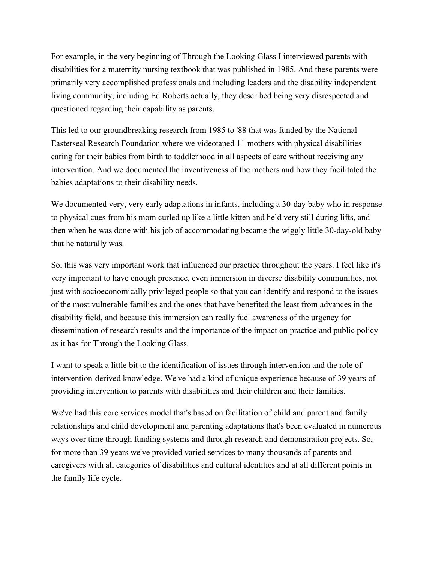For example, in the very beginning of Through the Looking Glass I interviewed parents with disabilities for a maternity nursing textbook that was published in 1985. And these parents were primarily very accomplished professionals and including leaders and the disability independent living community, including Ed Roberts actually, they described being very disrespected and questioned regarding their capability as parents.

This led to our groundbreaking research from 1985 to '88 that was funded by the National Easterseal Research Foundation where we videotaped 11 mothers with physical disabilities caring for their babies from birth to toddlerhood in all aspects of care without receiving any intervention. And we documented the inventiveness of the mothers and how they facilitated the babies adaptations to their disability needs.

We documented very, very early adaptations in infants, including a 30-day baby who in response to physical cues from his mom curled up like a little kitten and held very still during lifts, and then when he was done with his job of accommodating became the wiggly little 30-day-old baby that he naturally was.

So, this was very important work that influenced our practice throughout the years. I feel like it's very important to have enough presence, even immersion in diverse disability communities, not just with socioeconomically privileged people so that you can identify and respond to the issues of the most vulnerable families and the ones that have benefited the least from advances in the disability field, and because this immersion can really fuel awareness of the urgency for dissemination of research results and the importance of the impact on practice and public policy as it has for Through the Looking Glass.

I want to speak a little bit to the identification of issues through intervention and the role of intervention-derived knowledge. We've had a kind of unique experience because of 39 years of providing intervention to parents with disabilities and their children and their families.

We've had this core services model that's based on facilitation of child and parent and family relationships and child development and parenting adaptations that's been evaluated in numerous ways over time through funding systems and through research and demonstration projects. So, for more than 39 years we've provided varied services to many thousands of parents and caregivers with all categories of disabilities and cultural identities and at all different points in the family life cycle.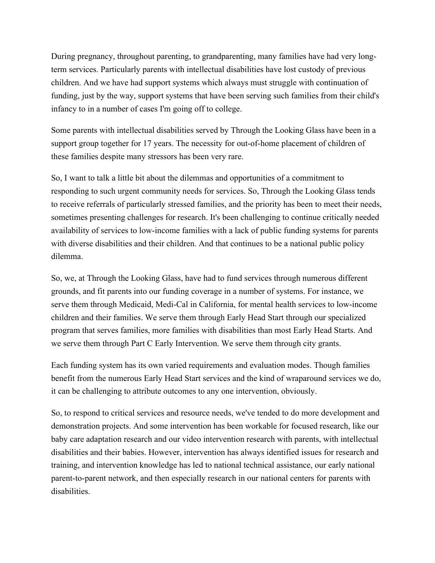During pregnancy, throughout parenting, to grandparenting, many families have had very longterm services. Particularly parents with intellectual disabilities have lost custody of previous children. And we have had support systems which always must struggle with continuation of funding, just by the way, support systems that have been serving such families from their child's infancy to in a number of cases I'm going off to college.

Some parents with intellectual disabilities served by Through the Looking Glass have been in a support group together for 17 years. The necessity for out-of-home placement of children of these families despite many stressors has been very rare.

So, I want to talk a little bit about the dilemmas and opportunities of a commitment to responding to such urgent community needs for services. So, Through the Looking Glass tends to receive referrals of particularly stressed families, and the priority has been to meet their needs, sometimes presenting challenges for research. It's been challenging to continue critically needed availability of services to low-income families with a lack of public funding systems for parents with diverse disabilities and their children. And that continues to be a national public policy dilemma.

So, we, at Through the Looking Glass, have had to fund services through numerous different grounds, and fit parents into our funding coverage in a number of systems. For instance, we serve them through Medicaid, Medi-Cal in California, for mental health services to low-income children and their families. We serve them through Early Head Start through our specialized program that serves families, more families with disabilities than most Early Head Starts. And we serve them through Part C Early Intervention. We serve them through city grants.

Each funding system has its own varied requirements and evaluation modes. Though families benefit from the numerous Early Head Start services and the kind of wraparound services we do, it can be challenging to attribute outcomes to any one intervention, obviously.

So, to respond to critical services and resource needs, we've tended to do more development and demonstration projects. And some intervention has been workable for focused research, like our baby care adaptation research and our video intervention research with parents, with intellectual disabilities and their babies. However, intervention has always identified issues for research and training, and intervention knowledge has led to national technical assistance, our early national parent-to-parent network, and then especially research in our national centers for parents with disabilities.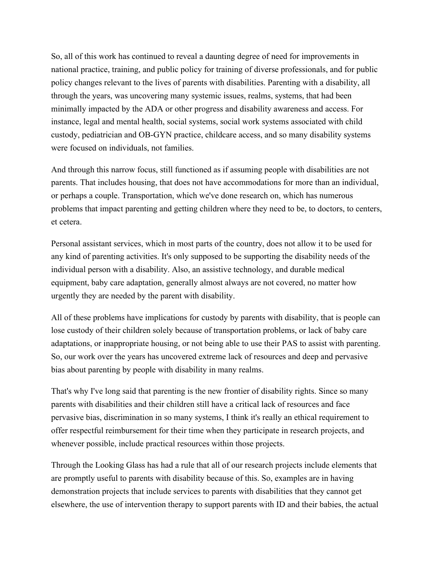So, all of this work has continued to reveal a daunting degree of need for improvements in national practice, training, and public policy for training of diverse professionals, and for public policy changes relevant to the lives of parents with disabilities. Parenting with a disability, all through the years, was uncovering many systemic issues, realms, systems, that had been minimally impacted by the ADA or other progress and disability awareness and access. For instance, legal and mental health, social systems, social work systems associated with child custody, pediatrician and OB-GYN practice, childcare access, and so many disability systems were focused on individuals, not families.

And through this narrow focus, still functioned as if assuming people with disabilities are not parents. That includes housing, that does not have accommodations for more than an individual, or perhaps a couple. Transportation, which we've done research on, which has numerous problems that impact parenting and getting children where they need to be, to doctors, to centers, et cetera.

Personal assistant services, which in most parts of the country, does not allow it to be used for any kind of parenting activities. It's only supposed to be supporting the disability needs of the individual person with a disability. Also, an assistive technology, and durable medical equipment, baby care adaptation, generally almost always are not covered, no matter how urgently they are needed by the parent with disability.

All of these problems have implications for custody by parents with disability, that is people can lose custody of their children solely because of transportation problems, or lack of baby care adaptations, or inappropriate housing, or not being able to use their PAS to assist with parenting. So, our work over the years has uncovered extreme lack of resources and deep and pervasive bias about parenting by people with disability in many realms.

That's why I've long said that parenting is the new frontier of disability rights. Since so many parents with disabilities and their children still have a critical lack of resources and face pervasive bias, discrimination in so many systems, I think it's really an ethical requirement to offer respectful reimbursement for their time when they participate in research projects, and whenever possible, include practical resources within those projects.

Through the Looking Glass has had a rule that all of our research projects include elements that are promptly useful to parents with disability because of this. So, examples are in having demonstration projects that include services to parents with disabilities that they cannot get elsewhere, the use of intervention therapy to support parents with ID and their babies, the actual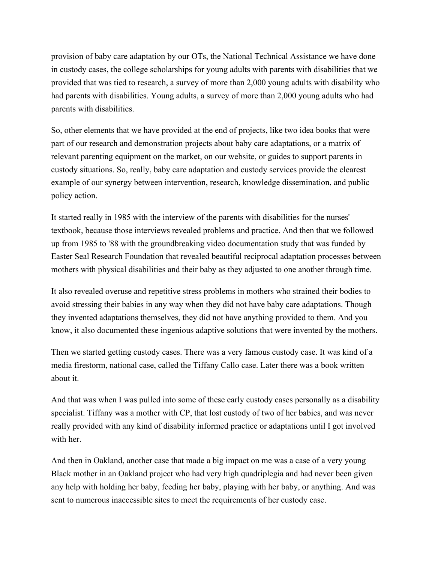provision of baby care adaptation by our OTs, the National Technical Assistance we have done in custody cases, the college scholarships for young adults with parents with disabilities that we provided that was tied to research, a survey of more than 2,000 young adults with disability who had parents with disabilities. Young adults, a survey of more than 2,000 young adults who had parents with disabilities.

So, other elements that we have provided at the end of projects, like two idea books that were part of our research and demonstration projects about baby care adaptations, or a matrix of relevant parenting equipment on the market, on our website, or guides to support parents in custody situations. So, really, baby care adaptation and custody services provide the clearest example of our synergy between intervention, research, knowledge dissemination, and public policy action.

It started really in 1985 with the interview of the parents with disabilities for the nurses' textbook, because those interviews revealed problems and practice. And then that we followed up from 1985 to '88 with the groundbreaking video documentation study that was funded by Easter Seal Research Foundation that revealed beautiful reciprocal adaptation processes between mothers with physical disabilities and their baby as they adjusted to one another through time.

It also revealed overuse and repetitive stress problems in mothers who strained their bodies to avoid stressing their babies in any way when they did not have baby care adaptations. Though they invented adaptations themselves, they did not have anything provided to them. And you know, it also documented these ingenious adaptive solutions that were invented by the mothers.

Then we started getting custody cases. There was a very famous custody case. It was kind of a media firestorm, national case, called the Tiffany Callo case. Later there was a book written about it.

And that was when I was pulled into some of these early custody cases personally as a disability specialist. Tiffany was a mother with CP, that lost custody of two of her babies, and was never really provided with any kind of disability informed practice or adaptations until I got involved with her.

And then in Oakland, another case that made a big impact on me was a case of a very young Black mother in an Oakland project who had very high quadriplegia and had never been given any help with holding her baby, feeding her baby, playing with her baby, or anything. And was sent to numerous inaccessible sites to meet the requirements of her custody case.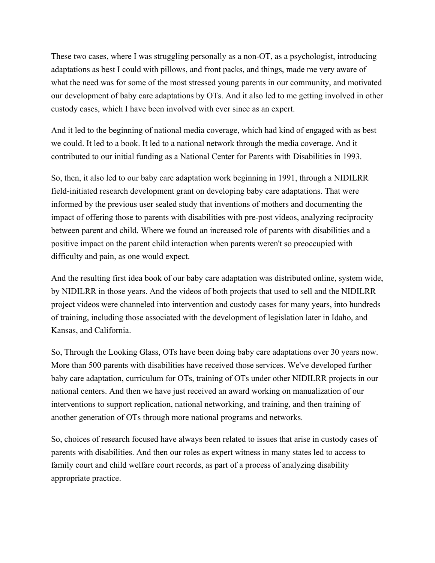These two cases, where I was struggling personally as a non-OT, as a psychologist, introducing adaptations as best I could with pillows, and front packs, and things, made me very aware of what the need was for some of the most stressed young parents in our community, and motivated our development of baby care adaptations by OTs. And it also led to me getting involved in other custody cases, which I have been involved with ever since as an expert.

And it led to the beginning of national media coverage, which had kind of engaged with as best we could. It led to a book. It led to a national network through the media coverage. And it contributed to our initial funding as a National Center for Parents with Disabilities in 1993.

So, then, it also led to our baby care adaptation work beginning in 1991, through a NIDILRR field-initiated research development grant on developing baby care adaptations. That were informed by the previous user sealed study that inventions of mothers and documenting the impact of offering those to parents with disabilities with pre-post videos, analyzing reciprocity between parent and child. Where we found an increased role of parents with disabilities and a positive impact on the parent child interaction when parents weren't so preoccupied with difficulty and pain, as one would expect.

And the resulting first idea book of our baby care adaptation was distributed online, system wide, by NIDILRR in those years. And the videos of both projects that used to sell and the NIDILRR project videos were channeled into intervention and custody cases for many years, into hundreds of training, including those associated with the development of legislation later in Idaho, and Kansas, and California.

So, Through the Looking Glass, OTs have been doing baby care adaptations over 30 years now. More than 500 parents with disabilities have received those services. We've developed further baby care adaptation, curriculum for OTs, training of OTs under other NIDILRR projects in our national centers. And then we have just received an award working on manualization of our interventions to support replication, national networking, and training, and then training of another generation of OTs through more national programs and networks.

So, choices of research focused have always been related to issues that arise in custody cases of parents with disabilities. And then our roles as expert witness in many states led to access to family court and child welfare court records, as part of a process of analyzing disability appropriate practice.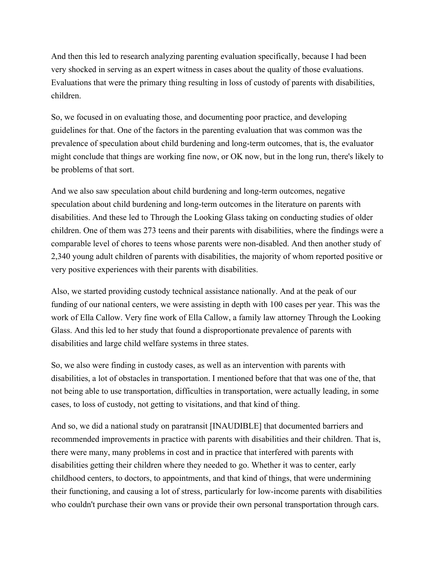And then this led to research analyzing parenting evaluation specifically, because I had been very shocked in serving as an expert witness in cases about the quality of those evaluations. Evaluations that were the primary thing resulting in loss of custody of parents with disabilities, children.

So, we focused in on evaluating those, and documenting poor practice, and developing guidelines for that. One of the factors in the parenting evaluation that was common was the prevalence of speculation about child burdening and long-term outcomes, that is, the evaluator might conclude that things are working fine now, or OK now, but in the long run, there's likely to be problems of that sort.

And we also saw speculation about child burdening and long-term outcomes, negative speculation about child burdening and long-term outcomes in the literature on parents with disabilities. And these led to Through the Looking Glass taking on conducting studies of older children. One of them was 273 teens and their parents with disabilities, where the findings were a comparable level of chores to teens whose parents were non-disabled. And then another study of 2,340 young adult children of parents with disabilities, the majority of whom reported positive or very positive experiences with their parents with disabilities.

Also, we started providing custody technical assistance nationally. And at the peak of our funding of our national centers, we were assisting in depth with 100 cases per year. This was the work of Ella Callow. Very fine work of Ella Callow, a family law attorney Through the Looking Glass. And this led to her study that found a disproportionate prevalence of parents with disabilities and large child welfare systems in three states.

So, we also were finding in custody cases, as well as an intervention with parents with disabilities, a lot of obstacles in transportation. I mentioned before that that was one of the, that not being able to use transportation, difficulties in transportation, were actually leading, in some cases, to loss of custody, not getting to visitations, and that kind of thing.

And so, we did a national study on paratransit [INAUDIBLE] that documented barriers and recommended improvements in practice with parents with disabilities and their children. That is, there were many, many problems in cost and in practice that interfered with parents with disabilities getting their children where they needed to go. Whether it was to center, early childhood centers, to doctors, to appointments, and that kind of things, that were undermining their functioning, and causing a lot of stress, particularly for low-income parents with disabilities who couldn't purchase their own vans or provide their own personal transportation through cars.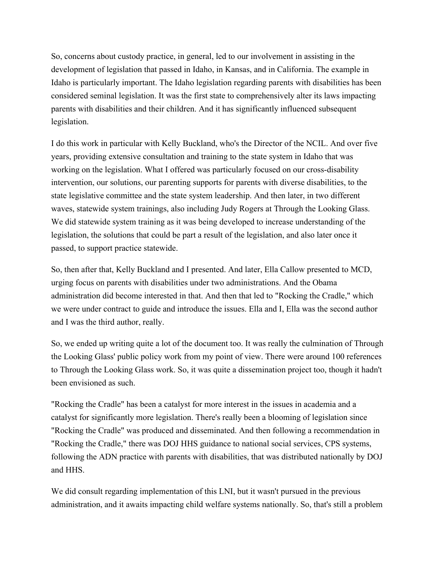So, concerns about custody practice, in general, led to our involvement in assisting in the development of legislation that passed in Idaho, in Kansas, and in California. The example in Idaho is particularly important. The Idaho legislation regarding parents with disabilities has been considered seminal legislation. It was the first state to comprehensively alter its laws impacting parents with disabilities and their children. And it has significantly influenced subsequent legislation.

I do this work in particular with Kelly Buckland, who's the Director of the NCIL. And over five years, providing extensive consultation and training to the state system in Idaho that was working on the legislation. What I offered was particularly focused on our cross-disability intervention, our solutions, our parenting supports for parents with diverse disabilities, to the state legislative committee and the state system leadership. And then later, in two different waves, statewide system trainings, also including Judy Rogers at Through the Looking Glass. We did statewide system training as it was being developed to increase understanding of the legislation, the solutions that could be part a result of the legislation, and also later once it passed, to support practice statewide.

So, then after that, Kelly Buckland and I presented. And later, Ella Callow presented to MCD, urging focus on parents with disabilities under two administrations. And the Obama administration did become interested in that. And then that led to "Rocking the Cradle," which we were under contract to guide and introduce the issues. Ella and I, Ella was the second author and I was the third author, really.

So, we ended up writing quite a lot of the document too. It was really the culmination of Through the Looking Glass' public policy work from my point of view. There were around 100 references to Through the Looking Glass work. So, it was quite a dissemination project too, though it hadn't been envisioned as such.

"Rocking the Cradle" has been a catalyst for more interest in the issues in academia and a catalyst for significantly more legislation. There's really been a blooming of legislation since "Rocking the Cradle" was produced and disseminated. And then following a recommendation in "Rocking the Cradle," there was DOJ HHS guidance to national social services, CPS systems, following the ADN practice with parents with disabilities, that was distributed nationally by DOJ and HHS.

We did consult regarding implementation of this LNI, but it wasn't pursued in the previous administration, and it awaits impacting child welfare systems nationally. So, that's still a problem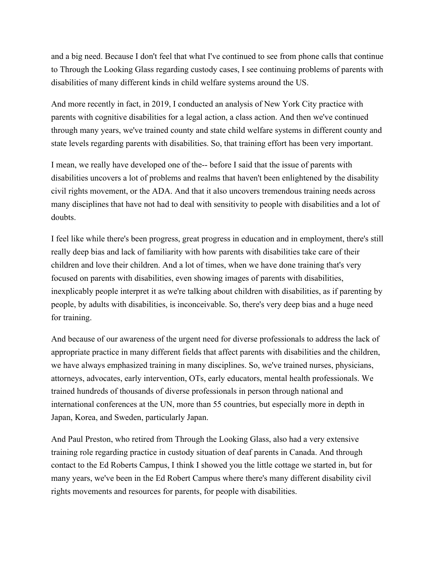and a big need. Because I don't feel that what I've continued to see from phone calls that continue to Through the Looking Glass regarding custody cases, I see continuing problems of parents with disabilities of many different kinds in child welfare systems around the US.

And more recently in fact, in 2019, I conducted an analysis of New York City practice with parents with cognitive disabilities for a legal action, a class action. And then we've continued through many years, we've trained county and state child welfare systems in different county and state levels regarding parents with disabilities. So, that training effort has been very important.

I mean, we really have developed one of the-- before I said that the issue of parents with disabilities uncovers a lot of problems and realms that haven't been enlightened by the disability civil rights movement, or the ADA. And that it also uncovers tremendous training needs across many disciplines that have not had to deal with sensitivity to people with disabilities and a lot of doubts.

I feel like while there's been progress, great progress in education and in employment, there's still really deep bias and lack of familiarity with how parents with disabilities take care of their children and love their children. And a lot of times, when we have done training that's very focused on parents with disabilities, even showing images of parents with disabilities, inexplicably people interpret it as we're talking about children with disabilities, as if parenting by people, by adults with disabilities, is inconceivable. So, there's very deep bias and a huge need for training.

And because of our awareness of the urgent need for diverse professionals to address the lack of appropriate practice in many different fields that affect parents with disabilities and the children, we have always emphasized training in many disciplines. So, we've trained nurses, physicians, attorneys, advocates, early intervention, OTs, early educators, mental health professionals. We trained hundreds of thousands of diverse professionals in person through national and international conferences at the UN, more than 55 countries, but especially more in depth in Japan, Korea, and Sweden, particularly Japan.

And Paul Preston, who retired from Through the Looking Glass, also had a very extensive training role regarding practice in custody situation of deaf parents in Canada. And through contact to the Ed Roberts Campus, I think I showed you the little cottage we started in, but for many years, we've been in the Ed Robert Campus where there's many different disability civil rights movements and resources for parents, for people with disabilities.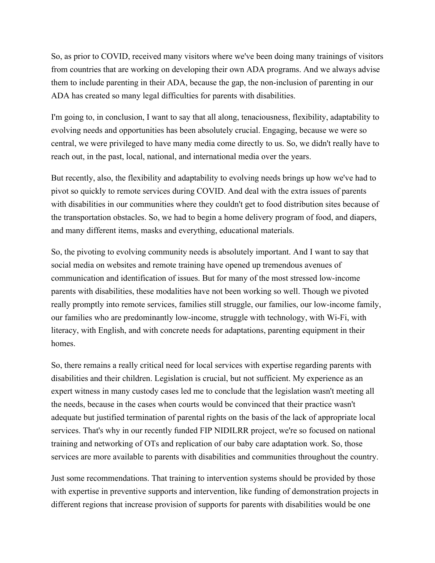So, as prior to COVID, received many visitors where we've been doing many trainings of visitors from countries that are working on developing their own ADA programs. And we always advise them to include parenting in their ADA, because the gap, the non-inclusion of parenting in our ADA has created so many legal difficulties for parents with disabilities.

I'm going to, in conclusion, I want to say that all along, tenaciousness, flexibility, adaptability to evolving needs and opportunities has been absolutely crucial. Engaging, because we were so central, we were privileged to have many media come directly to us. So, we didn't really have to reach out, in the past, local, national, and international media over the years.

But recently, also, the flexibility and adaptability to evolving needs brings up how we've had to pivot so quickly to remote services during COVID. And deal with the extra issues of parents with disabilities in our communities where they couldn't get to food distribution sites because of the transportation obstacles. So, we had to begin a home delivery program of food, and diapers, and many different items, masks and everything, educational materials.

So, the pivoting to evolving community needs is absolutely important. And I want to say that social media on websites and remote training have opened up tremendous avenues of communication and identification of issues. But for many of the most stressed low-income parents with disabilities, these modalities have not been working so well. Though we pivoted really promptly into remote services, families still struggle, our families, our low-income family, our families who are predominantly low-income, struggle with technology, with Wi-Fi, with literacy, with English, and with concrete needs for adaptations, parenting equipment in their homes.

So, there remains a really critical need for local services with expertise regarding parents with disabilities and their children. Legislation is crucial, but not sufficient. My experience as an expert witness in many custody cases led me to conclude that the legislation wasn't meeting all the needs, because in the cases when courts would be convinced that their practice wasn't adequate but justified termination of parental rights on the basis of the lack of appropriate local services. That's why in our recently funded FIP NIDILRR project, we're so focused on national training and networking of OTs and replication of our baby care adaptation work. So, those services are more available to parents with disabilities and communities throughout the country.

Just some recommendations. That training to intervention systems should be provided by those with expertise in preventive supports and intervention, like funding of demonstration projects in different regions that increase provision of supports for parents with disabilities would be one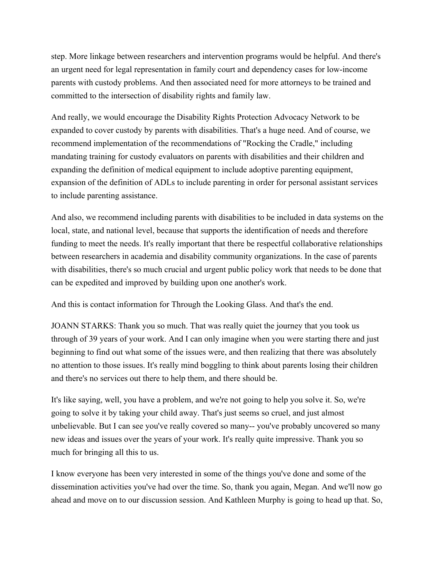step. More linkage between researchers and intervention programs would be helpful. And there's an urgent need for legal representation in family court and dependency cases for low-income parents with custody problems. And then associated need for more attorneys to be trained and committed to the intersection of disability rights and family law.

And really, we would encourage the Disability Rights Protection Advocacy Network to be expanded to cover custody by parents with disabilities. That's a huge need. And of course, we recommend implementation of the recommendations of "Rocking the Cradle," including mandating training for custody evaluators on parents with disabilities and their children and expanding the definition of medical equipment to include adoptive parenting equipment, expansion of the definition of ADLs to include parenting in order for personal assistant services to include parenting assistance.

And also, we recommend including parents with disabilities to be included in data systems on the local, state, and national level, because that supports the identification of needs and therefore funding to meet the needs. It's really important that there be respectful collaborative relationships between researchers in academia and disability community organizations. In the case of parents with disabilities, there's so much crucial and urgent public policy work that needs to be done that can be expedited and improved by building upon one another's work.

And this is contact information for Through the Looking Glass. And that's the end.

JOANN STARKS: Thank you so much. That was really quiet the journey that you took us through of 39 years of your work. And I can only imagine when you were starting there and just beginning to find out what some of the issues were, and then realizing that there was absolutely no attention to those issues. It's really mind boggling to think about parents losing their children and there's no services out there to help them, and there should be.

It's like saying, well, you have a problem, and we're not going to help you solve it. So, we're going to solve it by taking your child away. That's just seems so cruel, and just almost unbelievable. But I can see you've really covered so many-- you've probably uncovered so many new ideas and issues over the years of your work. It's really quite impressive. Thank you so much for bringing all this to us.

I know everyone has been very interested in some of the things you've done and some of the dissemination activities you've had over the time. So, thank you again, Megan. And we'll now go ahead and move on to our discussion session. And Kathleen Murphy is going to head up that. So,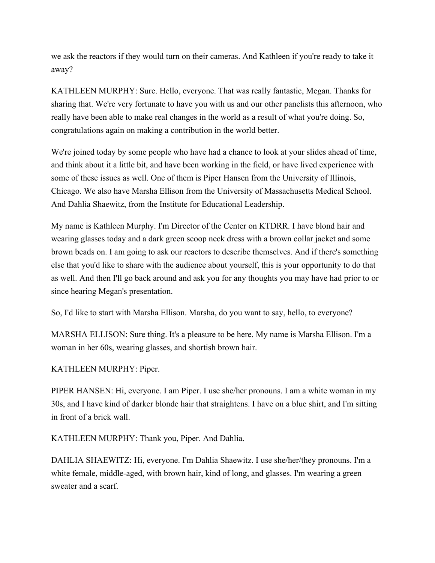we ask the reactors if they would turn on their cameras. And Kathleen if you're ready to take it away?

KATHLEEN MURPHY: Sure. Hello, everyone. That was really fantastic, Megan. Thanks for sharing that. We're very fortunate to have you with us and our other panelists this afternoon, who really have been able to make real changes in the world as a result of what you're doing. So, congratulations again on making a contribution in the world better.

We're joined today by some people who have had a chance to look at your slides ahead of time, and think about it a little bit, and have been working in the field, or have lived experience with some of these issues as well. One of them is Piper Hansen from the University of Illinois, Chicago. We also have Marsha Ellison from the University of Massachusetts Medical School. And Dahlia Shaewitz, from the Institute for Educational Leadership.

My name is Kathleen Murphy. I'm Director of the Center on KTDRR. I have blond hair and wearing glasses today and a dark green scoop neck dress with a brown collar jacket and some brown beads on. I am going to ask our reactors to describe themselves. And if there's something else that you'd like to share with the audience about yourself, this is your opportunity to do that as well. And then I'll go back around and ask you for any thoughts you may have had prior to or since hearing Megan's presentation.

So, I'd like to start with Marsha Ellison. Marsha, do you want to say, hello, to everyone?

MARSHA ELLISON: Sure thing. It's a pleasure to be here. My name is Marsha Ellison. I'm a woman in her 60s, wearing glasses, and shortish brown hair.

## KATHLEEN MURPHY: Piper.

PIPER HANSEN: Hi, everyone. I am Piper. I use she/her pronouns. I am a white woman in my 30s, and I have kind of darker blonde hair that straightens. I have on a blue shirt, and I'm sitting in front of a brick wall.

KATHLEEN MURPHY: Thank you, Piper. And Dahlia.

DAHLIA SHAEWITZ: Hi, everyone. I'm Dahlia Shaewitz. I use she/her/they pronouns. I'm a white female, middle-aged, with brown hair, kind of long, and glasses. I'm wearing a green sweater and a scarf.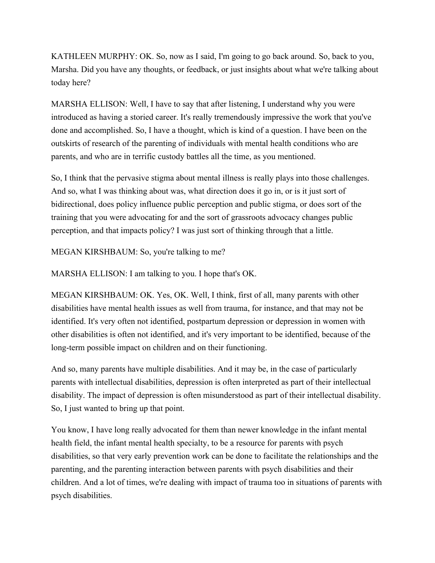KATHLEEN MURPHY: OK. So, now as I said, I'm going to go back around. So, back to you, Marsha. Did you have any thoughts, or feedback, or just insights about what we're talking about today here?

MARSHA ELLISON: Well, I have to say that after listening, I understand why you were introduced as having a storied career. It's really tremendously impressive the work that you've done and accomplished. So, I have a thought, which is kind of a question. I have been on the outskirts of research of the parenting of individuals with mental health conditions who are parents, and who are in terrific custody battles all the time, as you mentioned.

So, I think that the pervasive stigma about mental illness is really plays into those challenges. And so, what I was thinking about was, what direction does it go in, or is it just sort of bidirectional, does policy influence public perception and public stigma, or does sort of the training that you were advocating for and the sort of grassroots advocacy changes public perception, and that impacts policy? I was just sort of thinking through that a little.

MEGAN KIRSHBAUM: So, you're talking to me?

MARSHA ELLISON: I am talking to you. I hope that's OK.

MEGAN KIRSHBAUM: OK. Yes, OK. Well, I think, first of all, many parents with other disabilities have mental health issues as well from trauma, for instance, and that may not be identified. It's very often not identified, postpartum depression or depression in women with other disabilities is often not identified, and it's very important to be identified, because of the long-term possible impact on children and on their functioning.

And so, many parents have multiple disabilities. And it may be, in the case of particularly parents with intellectual disabilities, depression is often interpreted as part of their intellectual disability. The impact of depression is often misunderstood as part of their intellectual disability. So, I just wanted to bring up that point.

You know, I have long really advocated for them than newer knowledge in the infant mental health field, the infant mental health specialty, to be a resource for parents with psych disabilities, so that very early prevention work can be done to facilitate the relationships and the parenting, and the parenting interaction between parents with psych disabilities and their children. And a lot of times, we're dealing with impact of trauma too in situations of parents with psych disabilities.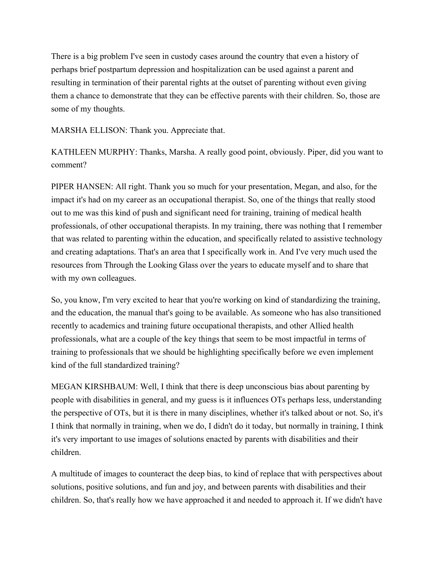There is a big problem I've seen in custody cases around the country that even a history of perhaps brief postpartum depression and hospitalization can be used against a parent and resulting in termination of their parental rights at the outset of parenting without even giving them a chance to demonstrate that they can be effective parents with their children. So, those are some of my thoughts.

MARSHA ELLISON: Thank you. Appreciate that.

KATHLEEN MURPHY: Thanks, Marsha. A really good point, obviously. Piper, did you want to comment?

PIPER HANSEN: All right. Thank you so much for your presentation, Megan, and also, for the impact it's had on my career as an occupational therapist. So, one of the things that really stood out to me was this kind of push and significant need for training, training of medical health professionals, of other occupational therapists. In my training, there was nothing that I remember that was related to parenting within the education, and specifically related to assistive technology and creating adaptations. That's an area that I specifically work in. And I've very much used the resources from Through the Looking Glass over the years to educate myself and to share that with my own colleagues.

So, you know, I'm very excited to hear that you're working on kind of standardizing the training, and the education, the manual that's going to be available. As someone who has also transitioned recently to academics and training future occupational therapists, and other Allied health professionals, what are a couple of the key things that seem to be most impactful in terms of training to professionals that we should be highlighting specifically before we even implement kind of the full standardized training?

MEGAN KIRSHBAUM: Well, I think that there is deep unconscious bias about parenting by people with disabilities in general, and my guess is it influences OTs perhaps less, understanding the perspective of OTs, but it is there in many disciplines, whether it's talked about or not. So, it's I think that normally in training, when we do, I didn't do it today, but normally in training, I think it's very important to use images of solutions enacted by parents with disabilities and their children.

A multitude of images to counteract the deep bias, to kind of replace that with perspectives about solutions, positive solutions, and fun and joy, and between parents with disabilities and their children. So, that's really how we have approached it and needed to approach it. If we didn't have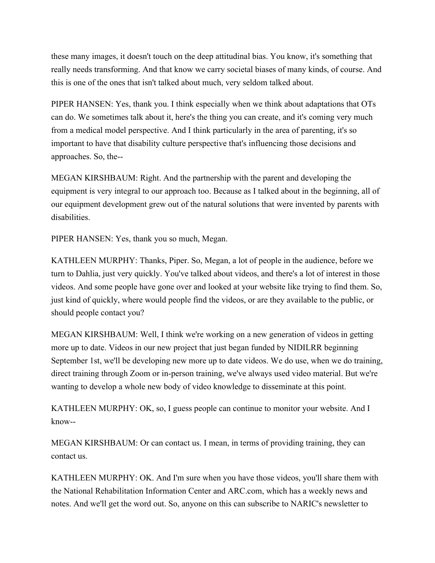these many images, it doesn't touch on the deep attitudinal bias. You know, it's something that really needs transforming. And that know we carry societal biases of many kinds, of course. And this is one of the ones that isn't talked about much, very seldom talked about.

PIPER HANSEN: Yes, thank you. I think especially when we think about adaptations that OTs can do. We sometimes talk about it, here's the thing you can create, and it's coming very much from a medical model perspective. And I think particularly in the area of parenting, it's so important to have that disability culture perspective that's influencing those decisions and approaches. So, the--

MEGAN KIRSHBAUM: Right. And the partnership with the parent and developing the equipment is very integral to our approach too. Because as I talked about in the beginning, all of our equipment development grew out of the natural solutions that were invented by parents with disabilities.

PIPER HANSEN: Yes, thank you so much, Megan.

KATHLEEN MURPHY: Thanks, Piper. So, Megan, a lot of people in the audience, before we turn to Dahlia, just very quickly. You've talked about videos, and there's a lot of interest in those videos. And some people have gone over and looked at your website like trying to find them. So, just kind of quickly, where would people find the videos, or are they available to the public, or should people contact you?

MEGAN KIRSHBAUM: Well, I think we're working on a new generation of videos in getting more up to date. Videos in our new project that just began funded by NIDILRR beginning September 1st, we'll be developing new more up to date videos. We do use, when we do training, direct training through Zoom or in-person training, we've always used video material. But we're wanting to develop a whole new body of video knowledge to disseminate at this point.

KATHLEEN MURPHY: OK, so, I guess people can continue to monitor your website. And I know--

MEGAN KIRSHBAUM: Or can contact us. I mean, in terms of providing training, they can contact us.

KATHLEEN MURPHY: OK. And I'm sure when you have those videos, you'll share them with the National Rehabilitation Information Center and ARC.com, which has a weekly news and notes. And we'll get the word out. So, anyone on this can subscribe to NARIC's newsletter to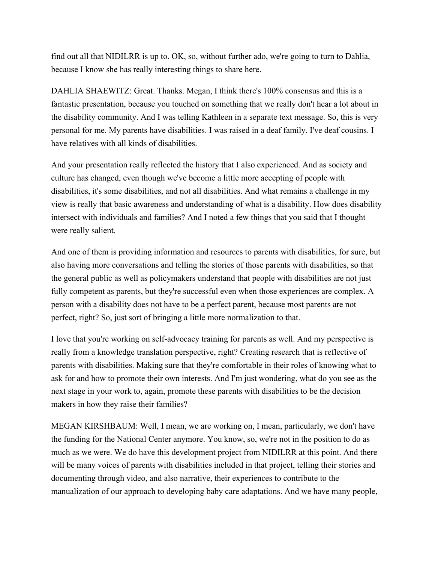find out all that NIDILRR is up to. OK, so, without further ado, we're going to turn to Dahlia, because I know she has really interesting things to share here.

DAHLIA SHAEWITZ: Great. Thanks. Megan, I think there's 100% consensus and this is a fantastic presentation, because you touched on something that we really don't hear a lot about in the disability community. And I was telling Kathleen in a separate text message. So, this is very personal for me. My parents have disabilities. I was raised in a deaf family. I've deaf cousins. I have relatives with all kinds of disabilities.

And your presentation really reflected the history that I also experienced. And as society and culture has changed, even though we've become a little more accepting of people with disabilities, it's some disabilities, and not all disabilities. And what remains a challenge in my view is really that basic awareness and understanding of what is a disability. How does disability intersect with individuals and families? And I noted a few things that you said that I thought were really salient.

And one of them is providing information and resources to parents with disabilities, for sure, but also having more conversations and telling the stories of those parents with disabilities, so that the general public as well as policymakers understand that people with disabilities are not just fully competent as parents, but they're successful even when those experiences are complex. A person with a disability does not have to be a perfect parent, because most parents are not perfect, right? So, just sort of bringing a little more normalization to that.

I love that you're working on self-advocacy training for parents as well. And my perspective is really from a knowledge translation perspective, right? Creating research that is reflective of parents with disabilities. Making sure that they're comfortable in their roles of knowing what to ask for and how to promote their own interests. And I'm just wondering, what do you see as the next stage in your work to, again, promote these parents with disabilities to be the decision makers in how they raise their families?

MEGAN KIRSHBAUM: Well, I mean, we are working on, I mean, particularly, we don't have the funding for the National Center anymore. You know, so, we're not in the position to do as much as we were. We do have this development project from NIDILRR at this point. And there will be many voices of parents with disabilities included in that project, telling their stories and documenting through video, and also narrative, their experiences to contribute to the manualization of our approach to developing baby care adaptations. And we have many people,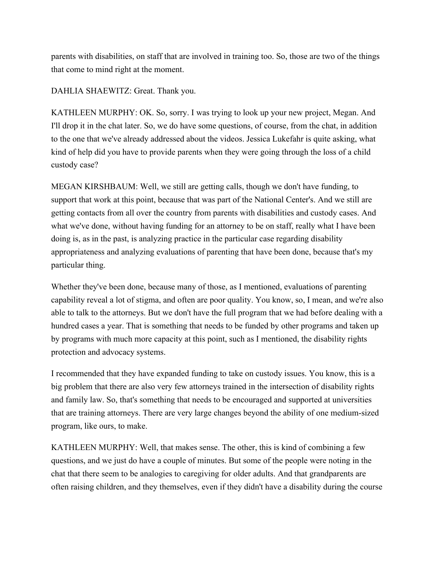parents with disabilities, on staff that are involved in training too. So, those are two of the things that come to mind right at the moment.

DAHLIA SHAEWITZ: Great. Thank you.

KATHLEEN MURPHY: OK. So, sorry. I was trying to look up your new project, Megan. And I'll drop it in the chat later. So, we do have some questions, of course, from the chat, in addition to the one that we've already addressed about the videos. Jessica Lukefahr is quite asking, what kind of help did you have to provide parents when they were going through the loss of a child custody case?

MEGAN KIRSHBAUM: Well, we still are getting calls, though we don't have funding, to support that work at this point, because that was part of the National Center's. And we still are getting contacts from all over the country from parents with disabilities and custody cases. And what we've done, without having funding for an attorney to be on staff, really what I have been doing is, as in the past, is analyzing practice in the particular case regarding disability appropriateness and analyzing evaluations of parenting that have been done, because that's my particular thing.

Whether they've been done, because many of those, as I mentioned, evaluations of parenting capability reveal a lot of stigma, and often are poor quality. You know, so, I mean, and we're also able to talk to the attorneys. But we don't have the full program that we had before dealing with a hundred cases a year. That is something that needs to be funded by other programs and taken up by programs with much more capacity at this point, such as I mentioned, the disability rights protection and advocacy systems.

I recommended that they have expanded funding to take on custody issues. You know, this is a big problem that there are also very few attorneys trained in the intersection of disability rights and family law. So, that's something that needs to be encouraged and supported at universities that are training attorneys. There are very large changes beyond the ability of one medium-sized program, like ours, to make.

KATHLEEN MURPHY: Well, that makes sense. The other, this is kind of combining a few questions, and we just do have a couple of minutes. But some of the people were noting in the chat that there seem to be analogies to caregiving for older adults. And that grandparents are often raising children, and they themselves, even if they didn't have a disability during the course